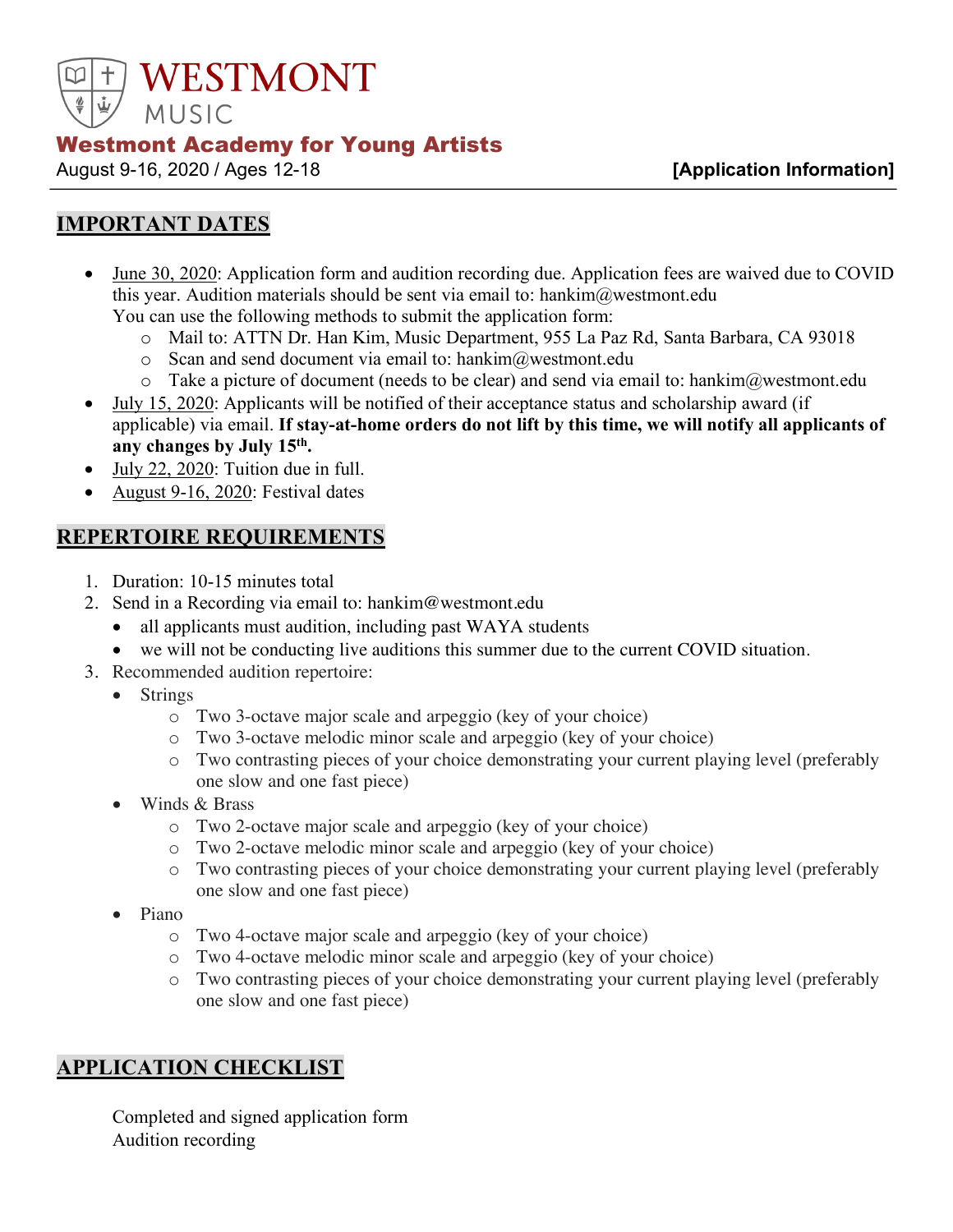

#### Westmont Academy for Young Artists

August 9-16, 2020 / Ages 12-18 **[Application Information]**

## **IMPORTANT DATES**

- June 30, 2020: Application form and audition recording due. Application fees are waived due to COVID this year. Audition materials should be sent via email to: hankim@westmont.edu You can use the following methods to submit the application form:
	- o Mail to: ATTN Dr. Han Kim, Music Department, 955 La Paz Rd, Santa Barbara, CA 93018
	- $\circ$  Scan and send document via email to: hankim@westmont.edu
	- $\circ$  Take a picture of document (needs to be clear) and send via email to: hankim $\omega$ westmont.edu
- July 15, 2020: Applicants will be notified of their acceptance status and scholarship award (if applicable) via email. **If stay-at-home orders do not lift by this time, we will notify all applicants of any changes by July 15th.**
- July 22, 2020: Tuition due in full.
- August 9-16, 2020: Festival dates

#### **REPERTOIRE REQUIREMENTS**

- 1. Duration: 10-15 minutes total
- 2. Send in a Recording via email to: hankim@westmont.edu
	- all applicants must audition, including past WAYA students
	- we will not be conducting live auditions this summer due to the current COVID situation.
- 3. Recommended audition repertoire:
	- Strings
		- o Two 3-octave major scale and arpeggio (key of your choice)
		- o Two 3-octave melodic minor scale and arpeggio (key of your choice)
		- o Two contrasting pieces of your choice demonstrating your current playing level (preferably one slow and one fast piece)
	- Winds & Brass
		- o Two 2-octave major scale and arpeggio (key of your choice)
		- o Two 2-octave melodic minor scale and arpeggio (key of your choice)
		- o Two contrasting pieces of your choice demonstrating your current playing level (preferably one slow and one fast piece)
	- Piano
		- o Two 4-octave major scale and arpeggio (key of your choice)
		- o Two 4-octave melodic minor scale and arpeggio (key of your choice)
		- o Two contrasting pieces of your choice demonstrating your current playing level (preferably one slow and one fast piece)

#### **APPLICATION CHECKLIST**

 Completed and signed application form Audition recording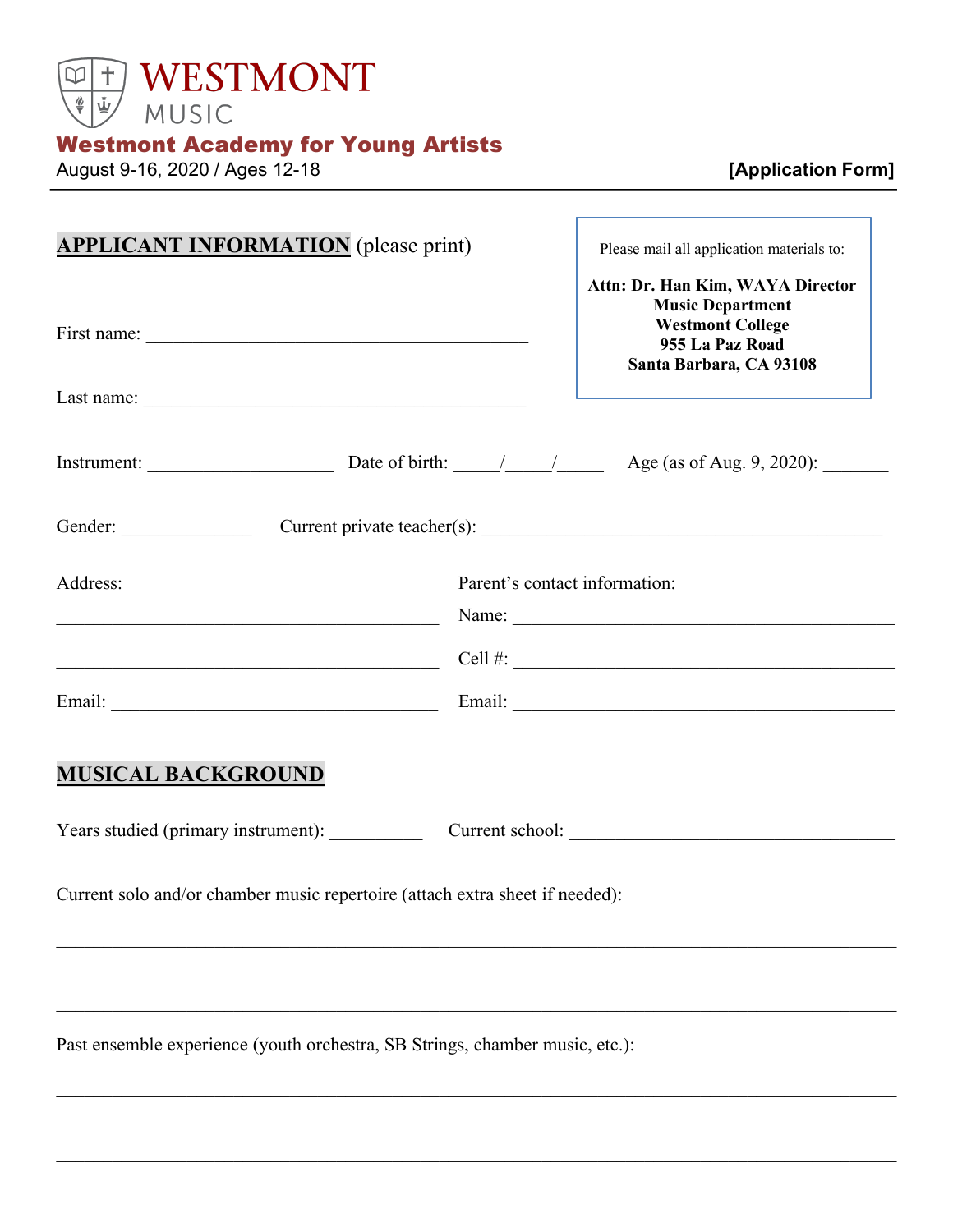

# Westmont Academy for Young Artists

August 9-16, 2020 / Ages 12-18 **[Application Form]**

| <b>APPLICANT INFORMATION</b> (please print)                                                                                                                                                                                                                                                                                                                                                                            |                               | Please mail all application materials to:<br>Attn: Dr. Han Kim, WAYA Director                    |
|------------------------------------------------------------------------------------------------------------------------------------------------------------------------------------------------------------------------------------------------------------------------------------------------------------------------------------------------------------------------------------------------------------------------|-------------------------------|--------------------------------------------------------------------------------------------------|
|                                                                                                                                                                                                                                                                                                                                                                                                                        |                               | <b>Music Department</b><br><b>Westmont College</b><br>955 La Paz Road<br>Santa Barbara, CA 93108 |
| Last name: $\frac{1}{\sqrt{1-\frac{1}{2}} \cdot \frac{1}{2}}$                                                                                                                                                                                                                                                                                                                                                          |                               |                                                                                                  |
| Instrument: $\frac{1}{\sqrt{1-\frac{1}{\sqrt{1-\frac{1}{\sqrt{1-\frac{1}{\sqrt{1-\frac{1}{\sqrt{1-\frac{1}{\sqrt{1-\frac{1}{\sqrt{1-\frac{1}{\sqrt{1-\frac{1}{\sqrt{1-\frac{1}{\sqrt{1-\frac{1}{\sqrt{1-\frac{1}{\sqrt{1-\frac{1}{\sqrt{1-\frac{1}{\sqrt{1-\frac{1}{\sqrt{1-\frac{1}{\sqrt{1-\frac{1}{\sqrt{1-\frac{1}{\sqrt{1-\frac{1}{\sqrt{1-\frac{1}{\sqrt{1-\frac{1}{\sqrt{1-\frac{1}{\sqrt{1-\frac{1}{\sqrt{1-\$ |                               |                                                                                                  |
| Gender: Current private teacher(s): Current private teacher(s):                                                                                                                                                                                                                                                                                                                                                        |                               |                                                                                                  |
| Address:<br><u> 1989 - Johann Barn, fransk politik amerikansk politik (</u>                                                                                                                                                                                                                                                                                                                                            | Parent's contact information: |                                                                                                  |
| Cell #:                                                                                                                                                                                                                                                                                                                                                                                                                |                               |                                                                                                  |
|                                                                                                                                                                                                                                                                                                                                                                                                                        |                               |                                                                                                  |
| <b>MUSICAL BACKGROUND</b>                                                                                                                                                                                                                                                                                                                                                                                              |                               |                                                                                                  |
| Years studied (primary instrument): Current school: Current school:                                                                                                                                                                                                                                                                                                                                                    |                               |                                                                                                  |
| Current solo and/or chamber music repertoire (attach extra sheet if needed):                                                                                                                                                                                                                                                                                                                                           |                               |                                                                                                  |
|                                                                                                                                                                                                                                                                                                                                                                                                                        |                               |                                                                                                  |
| Past ensemble experience (youth orchestra, SB Strings, chamber music, etc.):                                                                                                                                                                                                                                                                                                                                           |                               |                                                                                                  |

 $\_$  , and the contribution of the contribution of the contribution of the contribution of the contribution of  $\mathcal{L}_\text{max}$ 

 $\_$  , and the contribution of the contribution of the contribution of the contribution of the contribution of  $\mathcal{L}_\text{max}$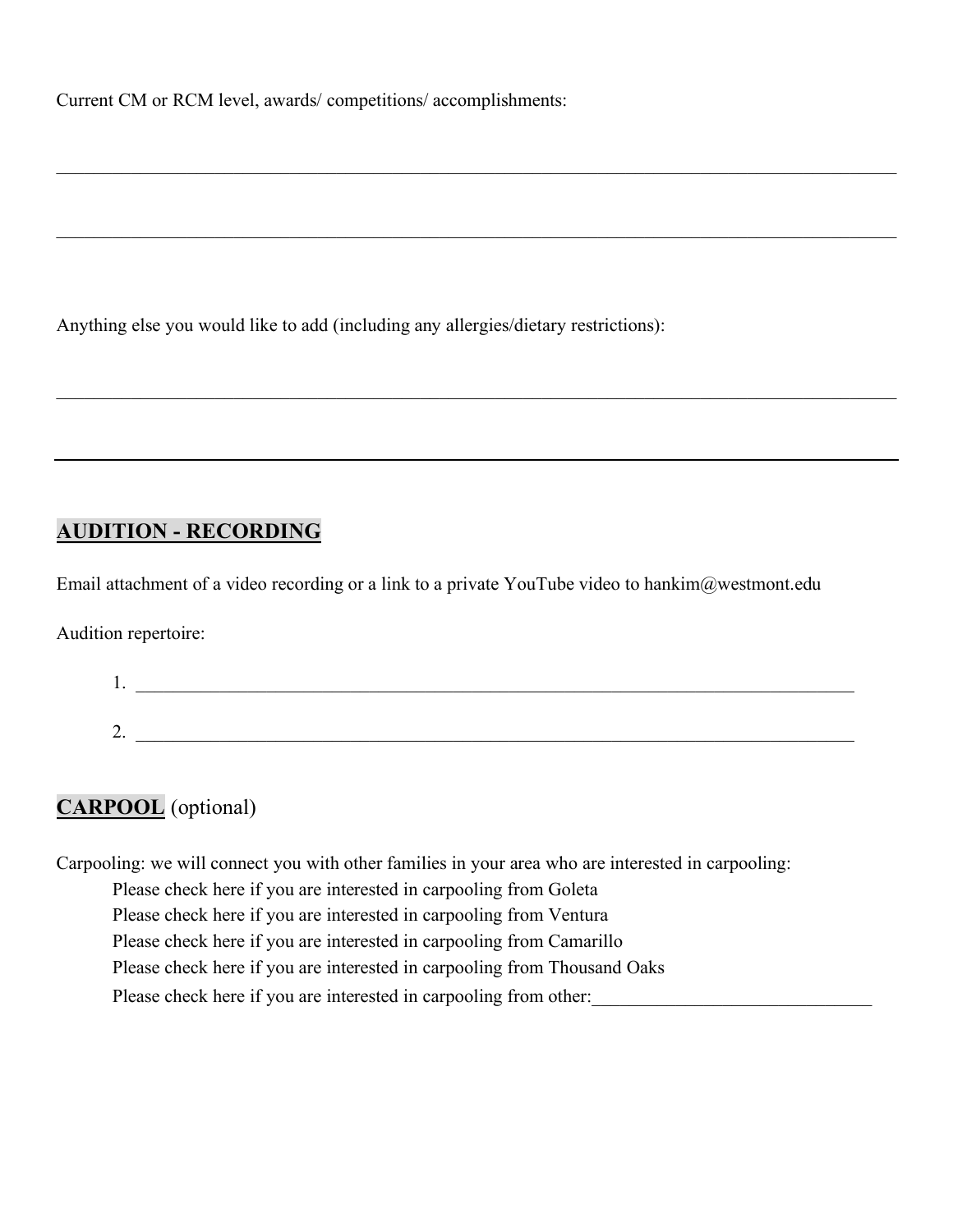Current CM or RCM level, awards/ competitions/ accomplishments:

Anything else you would like to add (including any allergies/dietary restrictions):

#### **AUDITION - RECORDING**

Email attachment of a video recording or a link to a private YouTube video to hankim@westmont.edu

Audition repertoire:

| . . |  |
|-----|--|
|     |  |
| ∼.  |  |

 $\mathcal{L}_\mathcal{L} = \mathcal{L}_\mathcal{L} = \mathcal{L}_\mathcal{L} = \mathcal{L}_\mathcal{L} = \mathcal{L}_\mathcal{L} = \mathcal{L}_\mathcal{L} = \mathcal{L}_\mathcal{L} = \mathcal{L}_\mathcal{L} = \mathcal{L}_\mathcal{L} = \mathcal{L}_\mathcal{L} = \mathcal{L}_\mathcal{L} = \mathcal{L}_\mathcal{L} = \mathcal{L}_\mathcal{L} = \mathcal{L}_\mathcal{L} = \mathcal{L}_\mathcal{L} = \mathcal{L}_\mathcal{L} = \mathcal{L}_\mathcal{L}$ 

 $\mathcal{L}_\mathcal{L} = \mathcal{L}_\mathcal{L} = \mathcal{L}_\mathcal{L} = \mathcal{L}_\mathcal{L} = \mathcal{L}_\mathcal{L} = \mathcal{L}_\mathcal{L} = \mathcal{L}_\mathcal{L} = \mathcal{L}_\mathcal{L} = \mathcal{L}_\mathcal{L} = \mathcal{L}_\mathcal{L} = \mathcal{L}_\mathcal{L} = \mathcal{L}_\mathcal{L} = \mathcal{L}_\mathcal{L} = \mathcal{L}_\mathcal{L} = \mathcal{L}_\mathcal{L} = \mathcal{L}_\mathcal{L} = \mathcal{L}_\mathcal{L}$ 

 $\_$  , and the contribution of the contribution of the contribution of the contribution of the contribution of  $\mathcal{L}_\text{max}$ 

## **CARPOOL** (optional)

Carpooling: we will connect you with other families in your area who are interested in carpooling:

Please check here if you are interested in carpooling from Goleta

Please check here if you are interested in carpooling from Ventura

Please check here if you are interested in carpooling from Camarillo

Please check here if you are interested in carpooling from Thousand Oaks

Please check here if you are interested in carpooling from other: